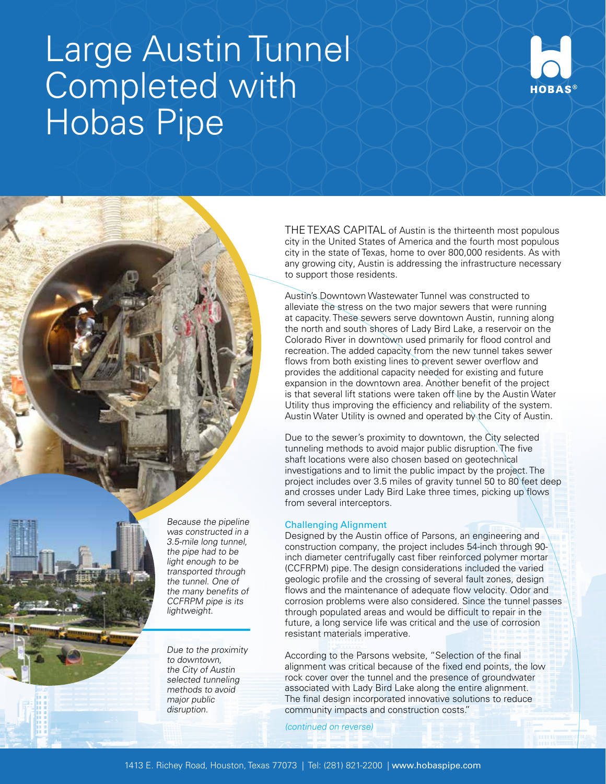## Large Austin Tunnel Completed with Hobas Pipe



THE TEXAS CAPITAL of Austin is the thirteenth most populous city in the United States of America and the fourth most populous city in the state of Texas, home to over 800,000 residents. As with any growing city, Austin is addressing the infrastructure necessary to support those residents.

Austin's Downtown Wastewater Tunnel was constructed to alleviate the stress on the two major sewers that were running at capacity. These sewers serve downtown Austin, running along the north and south shores of Lady Bird Lake, a reservoir on the Colorado River in downtown used primarily for flood control and recreation. The added capacity from the new tunnel takes sewer flows from both existing lines to prevent sewer overflow and provides the additional capacity needed for existing and future expansion in the downtown area. Another benefit of the project is that several lift stations were taken of line by the Austin Water Utility thus improving the efficiency and reliability of the system. Austin Water Utility is owned and operated by the City of Austin.

Due to the sewer's proximity to downtown, the City selected tunneling methods to avoid major public disruption. The five shaft locations were also chosen based on geotechnical investigations and to limit the public impact by the project. The project includes over 3.5 miles of gravity tunnel 50 to 80 feet deep and crosses under Lady Bird Lake three times, picking up flows from several interceptors.

## Challenging Alignment

Designed by the Austin office of Parsons, an engineering and construction company, the project includes 54-inch through 90 inch diameter centrifugally cast fiber reinforced polymer mortar (CCFRPM) pipe. The design considerations included the varied geologic profile and the crossing of several fault zones, design flows and the maintenance of adequate flow velocity. Odor and corrosion problems were also considered. Since the tunnel passes through populated areas and would be difficult to repair in the future, a long service life was critical and the use of corrosion resistant materials imperative.

According to the Parsons website, "Selection of the final alignment was critical because of the fixed end points, the low rock cover over the tunnel and the presence of groundwater associated with Lady Bird Lake along the entire alignment. The final design incorporated innovative solutions to reduce community impacts and construction costs."

(continued on reverse)



Due to the proximity to downtown, the City of Austin selected tunneling methods to avoid major public disruption.

Because the pipeline was constructed in a